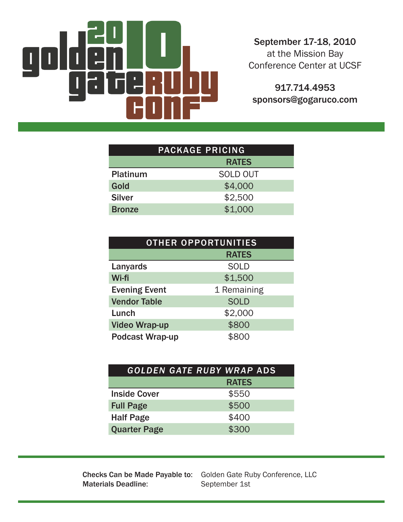

September 17-18, 2010 at the Mission Bay Conference Center at UCSF

917.714.4953 sponsors@gogaruco.com

| <b>PACKAGE PRICING</b> |                 |  |
|------------------------|-----------------|--|
|                        | <b>RATES</b>    |  |
| <b>Platinum</b>        | <b>SOLD OUT</b> |  |
| Gold                   | \$4,000         |  |
| <b>Silver</b>          | \$2,500         |  |
| <b>Bronze</b>          | \$1,000         |  |

| <b>OTHER OPPORTUNITIES</b> |              |  |
|----------------------------|--------------|--|
|                            | <b>RATES</b> |  |
| Lanyards                   | <b>SOLD</b>  |  |
| Wi-fi                      | \$1,500      |  |
| <b>Evening Event</b>       | 1 Remaining  |  |
| <b>Vendor Table</b>        | <b>SOLD</b>  |  |
| Lunch                      | \$2,000      |  |
| <b>Video Wrap-up</b>       | \$800        |  |
| <b>Podcast Wrap-up</b>     | ററ           |  |

|                     | GOLDEN GATE RUBY WRAP ADS |
|---------------------|---------------------------|
|                     | <b>RATES</b>              |
| <b>Inside Cover</b> | \$550                     |
| <b>Full Page</b>    | \$500                     |
| <b>Half Page</b>    | \$400                     |
| <b>Quarter Page</b> | \$300                     |

**Materials Deadline:** 

Checks Can be Made Payable to: Golden Gate Ruby Conference, LLC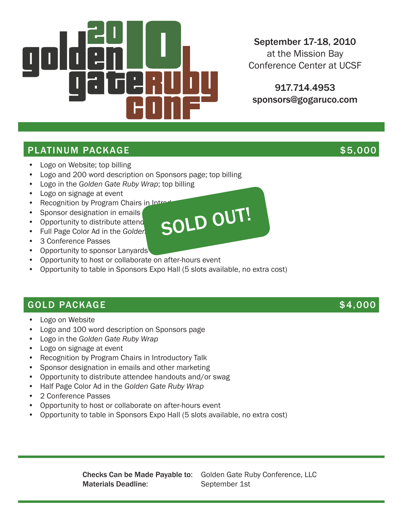

# September 17-18, 2010

at the Mission Bay Conference Center at UCSF

917.714.4953 sponsors@gogaruco.com

### PLATINUM PACKAGE \$5,000

- Logo on Website; top billing
- Logo and 200 word description on Sponsors page; top billing
- • Logo in the *Golden Gate Ruby Wrap*; top billing
- • Logo on signage at event
- Recognition by Program Chairs in Introductor<br>• Sponsor designation in emails<br>• Full Page Color Ad in the California Color Color Color Color Color Color Color Color Color Color Color Color Color Color Color Color Color Co
- Sponsor designation in emails
- Opportunity to distribute attend
- Full Page Color Ad in the Golden
- • 3 Conference Passes
- Opportunity to sponsor Lanyards
- • Opportunity to host or collaborate on after-hours event
- Opportunity to table in Sponsors Expo Hall (5 slots available, no extra cost)

#### GOLD PACKAGE \$4,000

- **Logo on Website**
- Logo and 100 word description on Sponsors page
- • Logo in the *Golden Gate Ruby Wrap*
- • Logo on signage at event
- Recognition by Program Chairs in Introductory Talk
- • Sponsor designation in emails and other marketing
- • Opportunity to distribute attendee handouts and/or swag
- • Half Page Color Ad in the *Golden Gate Ruby Wrap*
- • 2 Conference Passes
- • Opportunity to host or collaborate on after-hours event
- • Opportunity to table in Sponsors Expo Hall (5 slots available, no extra cost)

Checks Can be Made Payable to: Golden Gate Ruby Conference, LLC Materials Deadline: September 1st



- 
- 
- 
- 
-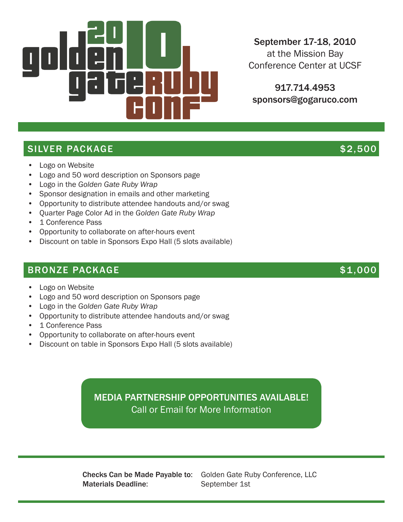

September 17-18, 2010

at the Mission Bay Conference Center at UCSF

917.714.4953 sponsors@gogaruco.com

# SILVER PACKAGE \$2,500

- Logo on Website
- Logo and 50 word description on Sponsors page
- • Logo in the *Golden Gate Ruby Wrap*
- Sponsor designation in emails and other marketing
- • Opportunity to distribute attendee handouts and/or swag
- • Quarter Page Color Ad in the *Golden Gate Ruby Wrap*
- 1 Conference Pass
- • Opportunity to collaborate on after-hours event
- Discount on table in Sponsors Expo Hall (5 slots available)

### BRONZE PACKAGE  $$1,000$

- Logo on Website
- Logo and 50 word description on Sponsors page
- • Logo in the *Golden Gate Ruby Wrap*
- • Opportunity to distribute attendee handouts and/or swag
- • 1 Conference Pass
- • Opportunity to collaborate on after-hours event
- Discount on table in Sponsors Expo Hall (5 slots available)

# MEDIA PARTNERSHIP OPPORTUNITIES AVAILABLE! Call or Email for More Information

Materials Deadline: September 1st

Checks Can be Made Payable to: Golden Gate Ruby Conference, LLC